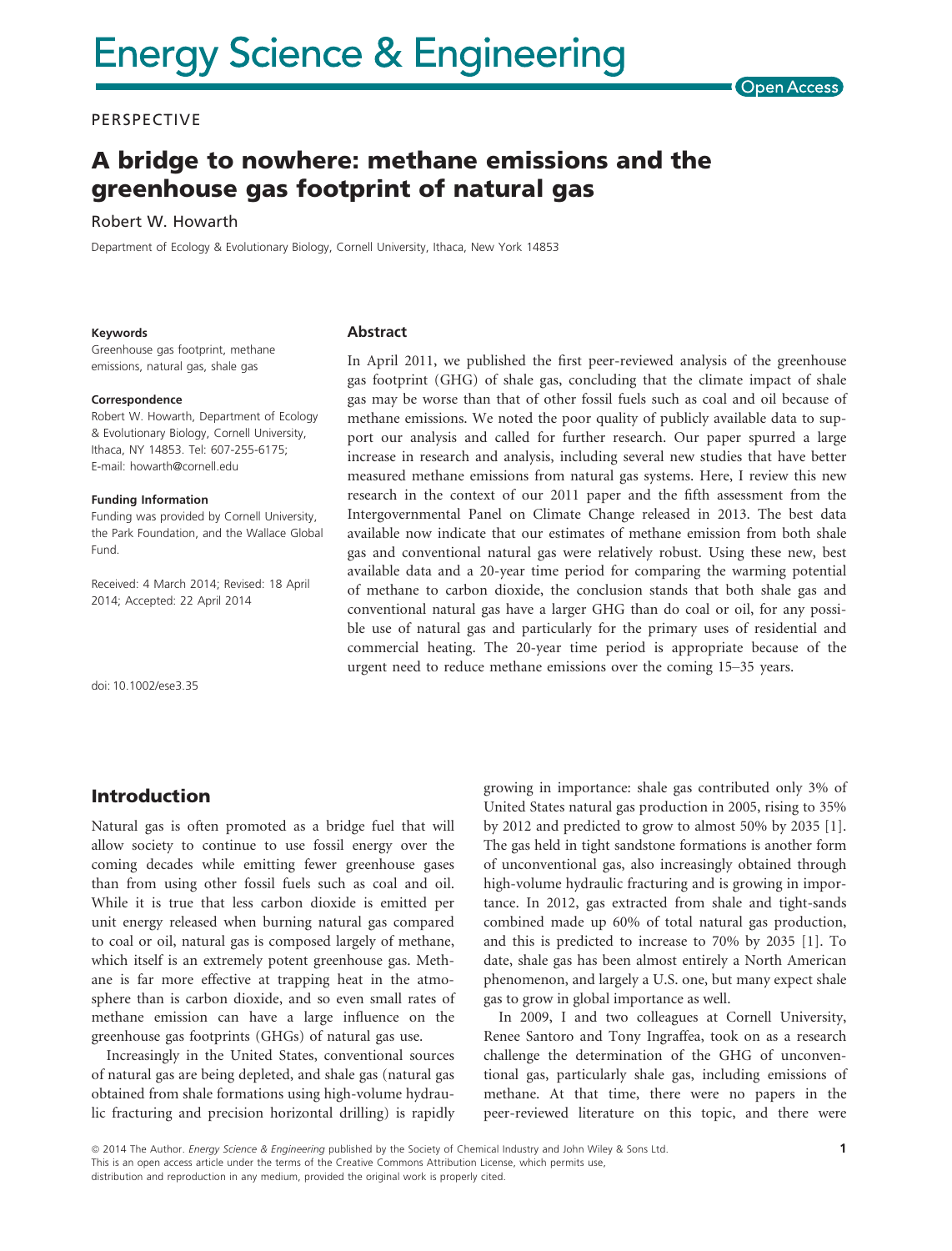### PERSPECTIVE

# A bridge to nowhere: methane emissions and the greenhouse gas footprint of natural gas

### Robert W. Howarth

Department of Ecology & Evolutionary Biology, Cornell University, Ithaca, New York 14853

#### Keywords

Greenhouse gas footprint, methane emissions, natural gas, shale gas

#### **Correspondence**

Robert W. Howarth, Department of Ecology & Evolutionary Biology, Cornell University, Ithaca, NY 14853. Tel: 607-255-6175; E-mail: howarth@cornell.edu

#### Funding Information

Funding was provided by Cornell University, the Park Foundation, and the Wallace Global Fund.

Received: 4 March 2014; Revised: 18 April 2014; Accepted: 22 April 2014

doi: 10.1002/ese3.35

#### Abstract

In April 2011, we published the first peer-reviewed analysis of the greenhouse gas footprint (GHG) of shale gas, concluding that the climate impact of shale gas may be worse than that of other fossil fuels such as coal and oil because of methane emissions. We noted the poor quality of publicly available data to support our analysis and called for further research. Our paper spurred a large increase in research and analysis, including several new studies that have better measured methane emissions from natural gas systems. Here, I review this new research in the context of our 2011 paper and the fifth assessment from the Intergovernmental Panel on Climate Change released in 2013. The best data available now indicate that our estimates of methane emission from both shale gas and conventional natural gas were relatively robust. Using these new, best available data and a 20-year time period for comparing the warming potential of methane to carbon dioxide, the conclusion stands that both shale gas and conventional natural gas have a larger GHG than do coal or oil, for any possible use of natural gas and particularly for the primary uses of residential and commercial heating. The 20-year time period is appropriate because of the urgent need to reduce methane emissions over the coming 15–35 years.

# Introduction

Natural gas is often promoted as a bridge fuel that will allow society to continue to use fossil energy over the coming decades while emitting fewer greenhouse gases than from using other fossil fuels such as coal and oil. While it is true that less carbon dioxide is emitted per unit energy released when burning natural gas compared to coal or oil, natural gas is composed largely of methane, which itself is an extremely potent greenhouse gas. Methane is far more effective at trapping heat in the atmosphere than is carbon dioxide, and so even small rates of methane emission can have a large influence on the greenhouse gas footprints (GHGs) of natural gas use.

Increasingly in the United States, conventional sources of natural gas are being depleted, and shale gas (natural gas obtained from shale formations using high-volume hydraulic fracturing and precision horizontal drilling) is rapidly growing in importance: shale gas contributed only 3% of United States natural gas production in 2005, rising to 35% by 2012 and predicted to grow to almost 50% by 2035 [1]. The gas held in tight sandstone formations is another form of unconventional gas, also increasingly obtained through high-volume hydraulic fracturing and is growing in importance. In 2012, gas extracted from shale and tight-sands combined made up 60% of total natural gas production, and this is predicted to increase to 70% by 2035 [1]. To date, shale gas has been almost entirely a North American phenomenon, and largely a U.S. one, but many expect shale gas to grow in global importance as well.

In 2009, I and two colleagues at Cornell University, Renee Santoro and Tony Ingraffea, took on as a research challenge the determination of the GHG of unconventional gas, particularly shale gas, including emissions of methane. At that time, there were no papers in the peer-reviewed literature on this topic, and there were

distribution and reproduction in any medium, provided the original work is properly cited.

**Open Access**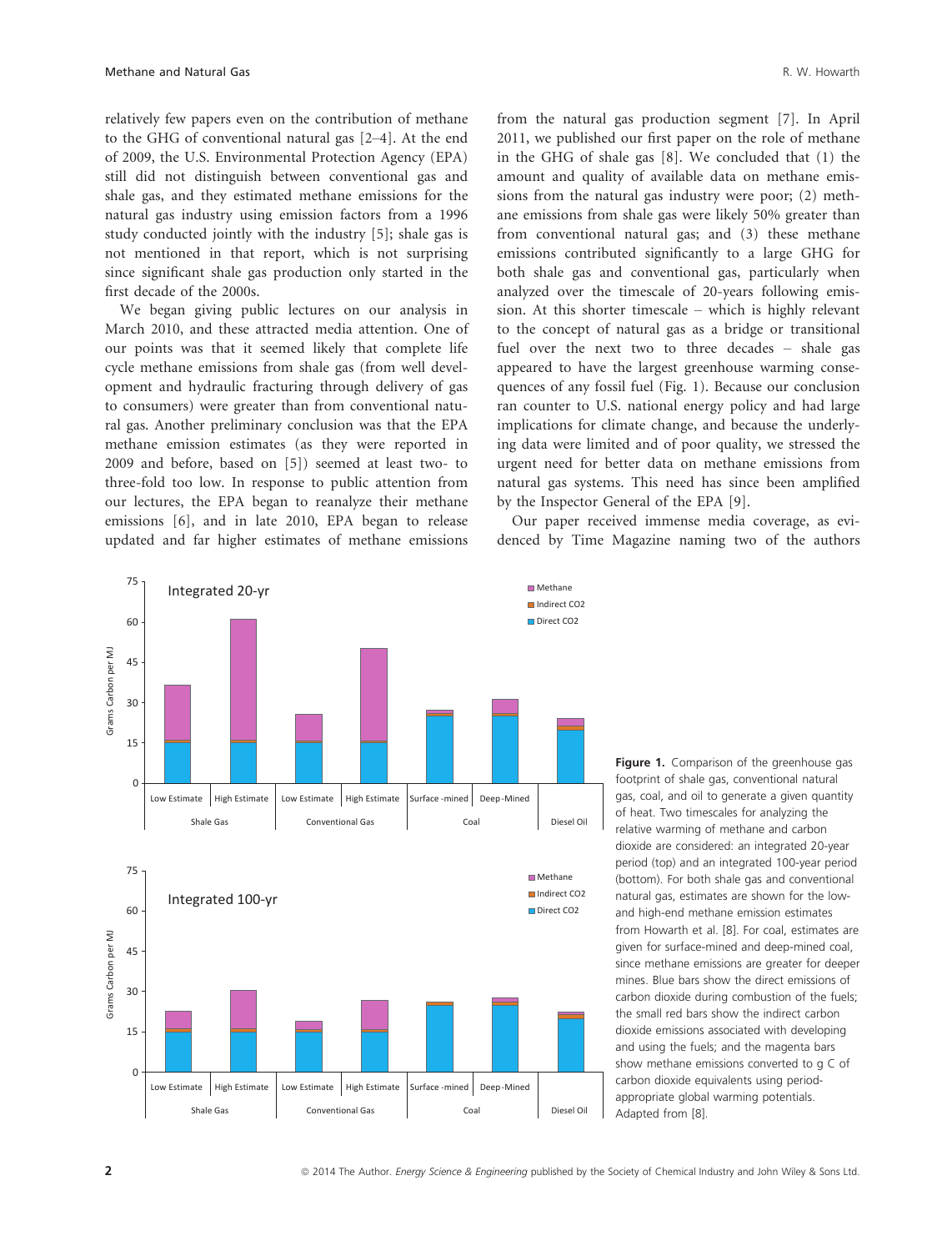relatively few papers even on the contribution of methane to the GHG of conventional natural gas [2–4]. At the end of 2009, the U.S. Environmental Protection Agency (EPA) still did not distinguish between conventional gas and shale gas, and they estimated methane emissions for the natural gas industry using emission factors from a 1996 study conducted jointly with the industry [5]; shale gas is not mentioned in that report, which is not surprising since significant shale gas production only started in the first decade of the 2000s.

We began giving public lectures on our analysis in March 2010, and these attracted media attention. One of our points was that it seemed likely that complete life cycle methane emissions from shale gas (from well development and hydraulic fracturing through delivery of gas to consumers) were greater than from conventional natural gas. Another preliminary conclusion was that the EPA methane emission estimates (as they were reported in 2009 and before, based on [5]) seemed at least two- to three-fold too low. In response to public attention from our lectures, the EPA began to reanalyze their methane emissions [6], and in late 2010, EPA began to release updated and far higher estimates of methane emissions from the natural gas production segment [7]. In April 2011, we published our first paper on the role of methane in the GHG of shale gas [8]. We concluded that (1) the amount and quality of available data on methane emissions from the natural gas industry were poor; (2) methane emissions from shale gas were likely 50% greater than from conventional natural gas; and (3) these methane emissions contributed significantly to a large GHG for both shale gas and conventional gas, particularly when analyzed over the timescale of 20-years following emission. At this shorter timescale – which is highly relevant to the concept of natural gas as a bridge or transitional fuel over the next two to three decades – shale gas appeared to have the largest greenhouse warming consequences of any fossil fuel (Fig. 1). Because our conclusion ran counter to U.S. national energy policy and had large implications for climate change, and because the underlying data were limited and of poor quality, we stressed the urgent need for better data on methane emissions from natural gas systems. This need has since been amplified by the Inspector General of the EPA [9].

Our paper received immense media coverage, as evidenced by Time Magazine naming two of the authors



Figure 1. Comparison of the greenhouse gas footprint of shale gas, conventional natural gas, coal, and oil to generate a given quantity of heat. Two timescales for analyzing the relative warming of methane and carbon dioxide are considered: an integrated 20-year period (top) and an integrated 100-year period (bottom). For both shale gas and conventional natural gas, estimates are shown for the lowand high-end methane emission estimates from Howarth et al. [8]. For coal, estimates are given for surface-mined and deep-mined coal, since methane emissions are greater for deeper mines. Blue bars show the direct emissions of carbon dioxide during combustion of the fuels; the small red bars show the indirect carbon dioxide emissions associated with developing and using the fuels; and the magenta bars show methane emissions converted to g C of carbon dioxide equivalents using periodappropriate global warming potentials. Adapted from [8].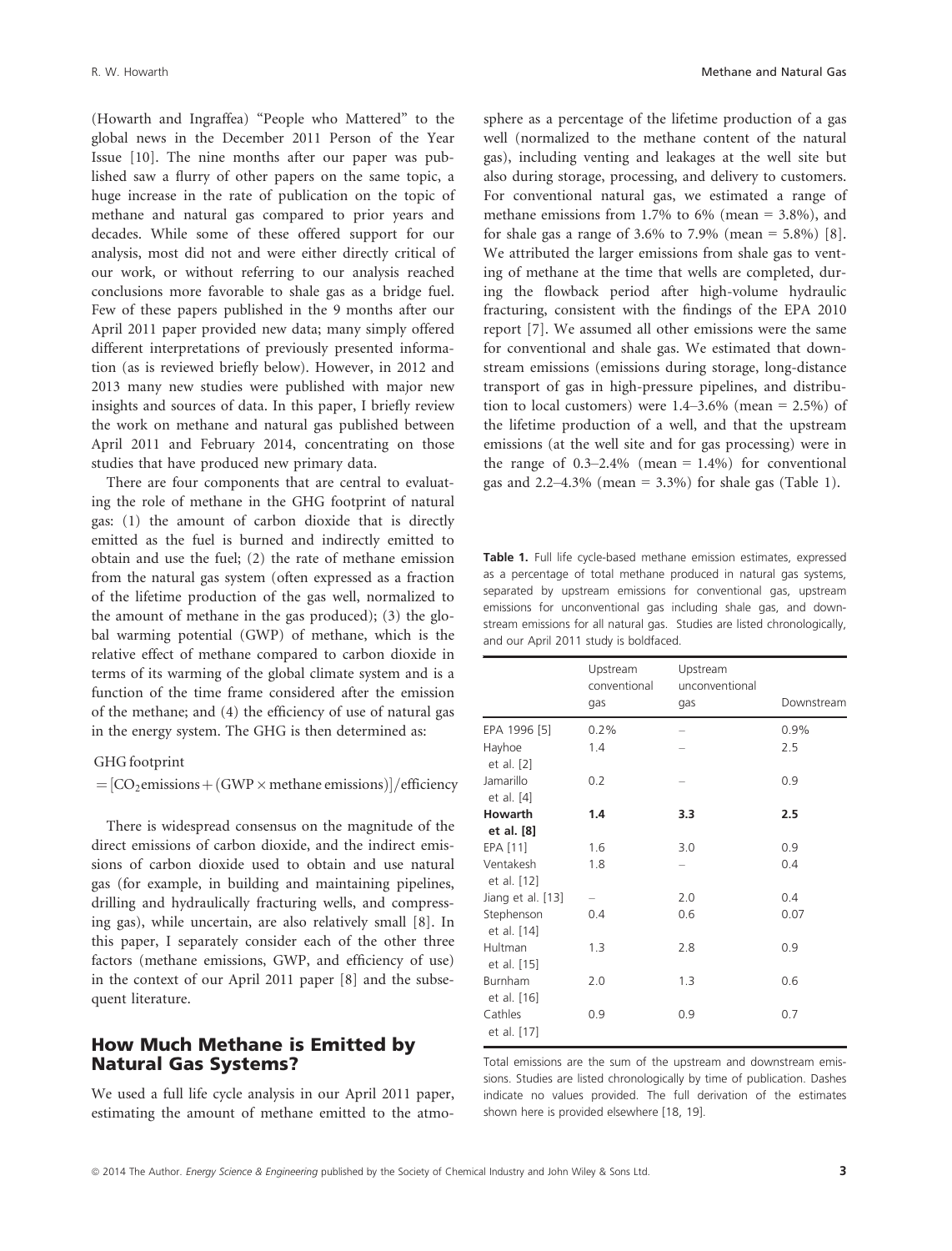(Howarth and Ingraffea) "People who Mattered" to the global news in the December 2011 Person of the Year Issue [10]. The nine months after our paper was published saw a flurry of other papers on the same topic, a huge increase in the rate of publication on the topic of methane and natural gas compared to prior years and decades. While some of these offered support for our analysis, most did not and were either directly critical of our work, or without referring to our analysis reached conclusions more favorable to shale gas as a bridge fuel. Few of these papers published in the 9 months after our April 2011 paper provided new data; many simply offered different interpretations of previously presented information (as is reviewed briefly below). However, in 2012 and 2013 many new studies were published with major new insights and sources of data. In this paper, I briefly review the work on methane and natural gas published between April 2011 and February 2014, concentrating on those studies that have produced new primary data.

There are four components that are central to evaluating the role of methane in the GHG footprint of natural gas: (1) the amount of carbon dioxide that is directly emitted as the fuel is burned and indirectly emitted to obtain and use the fuel; (2) the rate of methane emission from the natural gas system (often expressed as a fraction of the lifetime production of the gas well, normalized to the amount of methane in the gas produced); (3) the global warming potential (GWP) of methane, which is the relative effect of methane compared to carbon dioxide in terms of its warming of the global climate system and is a function of the time frame considered after the emission of the methane; and (4) the efficiency of use of natural gas in the energy system. The GHG is then determined as:

#### GHG footprint

 $=[CO<sub>2</sub> emissions + (GWP \times methane emissions)]/efficiency$ 

There is widespread consensus on the magnitude of the direct emissions of carbon dioxide, and the indirect emissions of carbon dioxide used to obtain and use natural gas (for example, in building and maintaining pipelines, drilling and hydraulically fracturing wells, and compressing gas), while uncertain, are also relatively small [8]. In this paper, I separately consider each of the other three factors (methane emissions, GWP, and efficiency of use) in the context of our April 2011 paper [8] and the subsequent literature.

## How Much Methane is Emitted by Natural Gas Systems?

We used a full life cycle analysis in our April 2011 paper, estimating the amount of methane emitted to the atmosphere as a percentage of the lifetime production of a gas well (normalized to the methane content of the natural gas), including venting and leakages at the well site but also during storage, processing, and delivery to customers. For conventional natural gas, we estimated a range of methane emissions from 1.7% to 6% (mean =  $3.8\%$ ), and for shale gas a range of 3.6% to 7.9% (mean =  $5.8\%$ ) [8]. We attributed the larger emissions from shale gas to venting of methane at the time that wells are completed, during the flowback period after high-volume hydraulic fracturing, consistent with the findings of the EPA 2010 report [7]. We assumed all other emissions were the same for conventional and shale gas. We estimated that downstream emissions (emissions during storage, long-distance transport of gas in high-pressure pipelines, and distribution to local customers) were 1.4–3.6% (mean = 2.5%) of the lifetime production of a well, and that the upstream emissions (at the well site and for gas processing) were in the range of  $0.3-2.4\%$  (mean = 1.4%) for conventional gas and  $2.2-4.3\%$  (mean =  $3.3\%$ ) for shale gas (Table 1).

Table 1. Full life cycle-based methane emission estimates, expressed as a percentage of total methane produced in natural gas systems, separated by upstream emissions for conventional gas, upstream emissions for unconventional gas including shale gas, and downstream emissions for all natural gas. Studies are listed chronologically, and our April 2011 study is boldfaced.

|                           | Upstream<br>conventional<br>gas | Upstream<br>unconventional<br>gas | Downstream |
|---------------------------|---------------------------------|-----------------------------------|------------|
| EPA 1996 [5]              | 0.2%                            |                                   | 0.9%       |
| Hayhoe<br>et al. [2]      | 1.4                             |                                   | 2.5        |
| Jamarillo<br>et al. [4]   | 0.2                             |                                   | 0.9        |
| Howarth                   | 1.4                             | 3.3                               | 2.5        |
| et al. [8]                |                                 |                                   |            |
| EPA [11]                  | 1.6                             | 3.0                               | 0.9        |
| Ventakesh<br>et al. [12]  | 1.8                             |                                   | 0.4        |
| Jiang et al. [13]         |                                 | 2.0                               | 0.4        |
| Stephenson<br>et al. [14] | 0.4                             | 0.6                               | 0.07       |
| Hultman<br>et al. [15]    | 1.3                             | 2.8                               | 0.9        |
| Burnham<br>et al. [16]    | 2.0                             | 1.3                               | 0.6        |
| Cathles<br>et al. [17]    | 0.9                             | 0.9                               | 0.7        |

Total emissions are the sum of the upstream and downstream emissions. Studies are listed chronologically by time of publication. Dashes indicate no values provided. The full derivation of the estimates shown here is provided elsewhere [18, 19].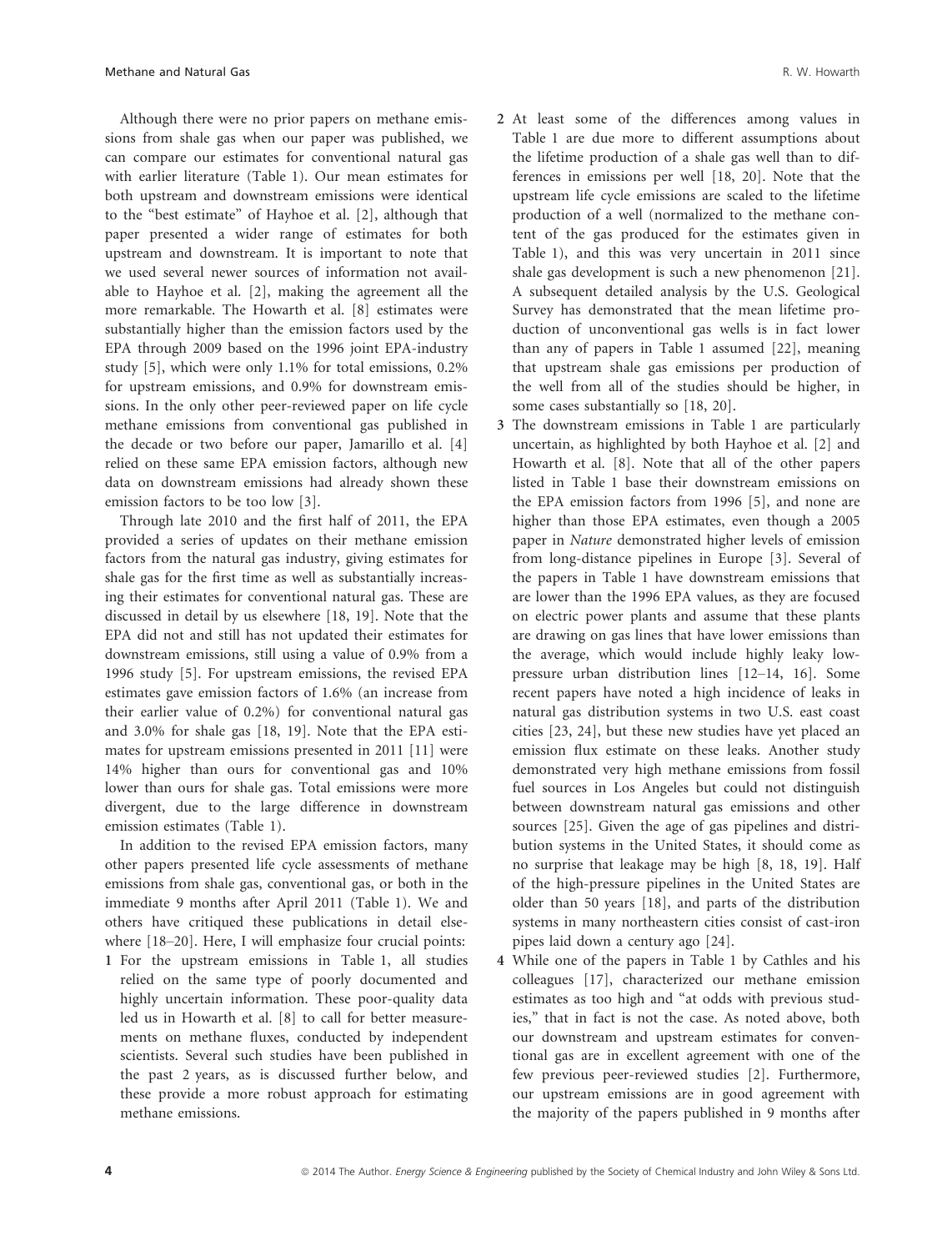Although there were no prior papers on methane emissions from shale gas when our paper was published, we can compare our estimates for conventional natural gas with earlier literature (Table 1). Our mean estimates for both upstream and downstream emissions were identical to the "best estimate" of Hayhoe et al. [2], although that paper presented a wider range of estimates for both upstream and downstream. It is important to note that we used several newer sources of information not available to Hayhoe et al. [2], making the agreement all the more remarkable. The Howarth et al. [8] estimates were substantially higher than the emission factors used by the EPA through 2009 based on the 1996 joint EPA-industry study [5], which were only 1.1% for total emissions, 0.2% for upstream emissions, and 0.9% for downstream emissions. In the only other peer-reviewed paper on life cycle methane emissions from conventional gas published in the decade or two before our paper, Jamarillo et al. [4] relied on these same EPA emission factors, although new data on downstream emissions had already shown these emission factors to be too low [3].

Through late 2010 and the first half of 2011, the EPA provided a series of updates on their methane emission factors from the natural gas industry, giving estimates for shale gas for the first time as well as substantially increasing their estimates for conventional natural gas. These are discussed in detail by us elsewhere [18, 19]. Note that the EPA did not and still has not updated their estimates for downstream emissions, still using a value of 0.9% from a 1996 study [5]. For upstream emissions, the revised EPA estimates gave emission factors of 1.6% (an increase from their earlier value of 0.2%) for conventional natural gas and 3.0% for shale gas [18, 19]. Note that the EPA estimates for upstream emissions presented in 2011 [11] were 14% higher than ours for conventional gas and 10% lower than ours for shale gas. Total emissions were more divergent, due to the large difference in downstream emission estimates (Table 1).

In addition to the revised EPA emission factors, many other papers presented life cycle assessments of methane emissions from shale gas, conventional gas, or both in the immediate 9 months after April 2011 (Table 1). We and others have critiqued these publications in detail elsewhere [18–20]. Here, I will emphasize four crucial points: 1 For the upstream emissions in Table 1, all studies relied on the same type of poorly documented and highly uncertain information. These poor-quality data led us in Howarth et al. [8] to call for better measurements on methane fluxes, conducted by independent scientists. Several such studies have been published in the past 2 years, as is discussed further below, and these provide a more robust approach for estimating methane emissions.

- 2 At least some of the differences among values in Table 1 are due more to different assumptions about the lifetime production of a shale gas well than to differences in emissions per well [18, 20]. Note that the upstream life cycle emissions are scaled to the lifetime production of a well (normalized to the methane content of the gas produced for the estimates given in Table 1), and this was very uncertain in 2011 since shale gas development is such a new phenomenon [21]. A subsequent detailed analysis by the U.S. Geological Survey has demonstrated that the mean lifetime production of unconventional gas wells is in fact lower than any of papers in Table 1 assumed [22], meaning that upstream shale gas emissions per production of the well from all of the studies should be higher, in some cases substantially so [18, 20].
- 3 The downstream emissions in Table 1 are particularly uncertain, as highlighted by both Hayhoe et al. [2] and Howarth et al. [8]. Note that all of the other papers listed in Table 1 base their downstream emissions on the EPA emission factors from 1996 [5], and none are higher than those EPA estimates, even though a 2005 paper in Nature demonstrated higher levels of emission from long-distance pipelines in Europe [3]. Several of the papers in Table 1 have downstream emissions that are lower than the 1996 EPA values, as they are focused on electric power plants and assume that these plants are drawing on gas lines that have lower emissions than the average, which would include highly leaky lowpressure urban distribution lines [12–14, 16]. Some recent papers have noted a high incidence of leaks in natural gas distribution systems in two U.S. east coast cities [23, 24], but these new studies have yet placed an emission flux estimate on these leaks. Another study demonstrated very high methane emissions from fossil fuel sources in Los Angeles but could not distinguish between downstream natural gas emissions and other sources [25]. Given the age of gas pipelines and distribution systems in the United States, it should come as no surprise that leakage may be high [8, 18, 19]. Half of the high-pressure pipelines in the United States are older than 50 years [18], and parts of the distribution systems in many northeastern cities consist of cast-iron pipes laid down a century ago [24].
- 4 While one of the papers in Table 1 by Cathles and his colleagues [17], characterized our methane emission estimates as too high and "at odds with previous studies," that in fact is not the case. As noted above, both our downstream and upstream estimates for conventional gas are in excellent agreement with one of the few previous peer-reviewed studies [2]. Furthermore, our upstream emissions are in good agreement with the majority of the papers published in 9 months after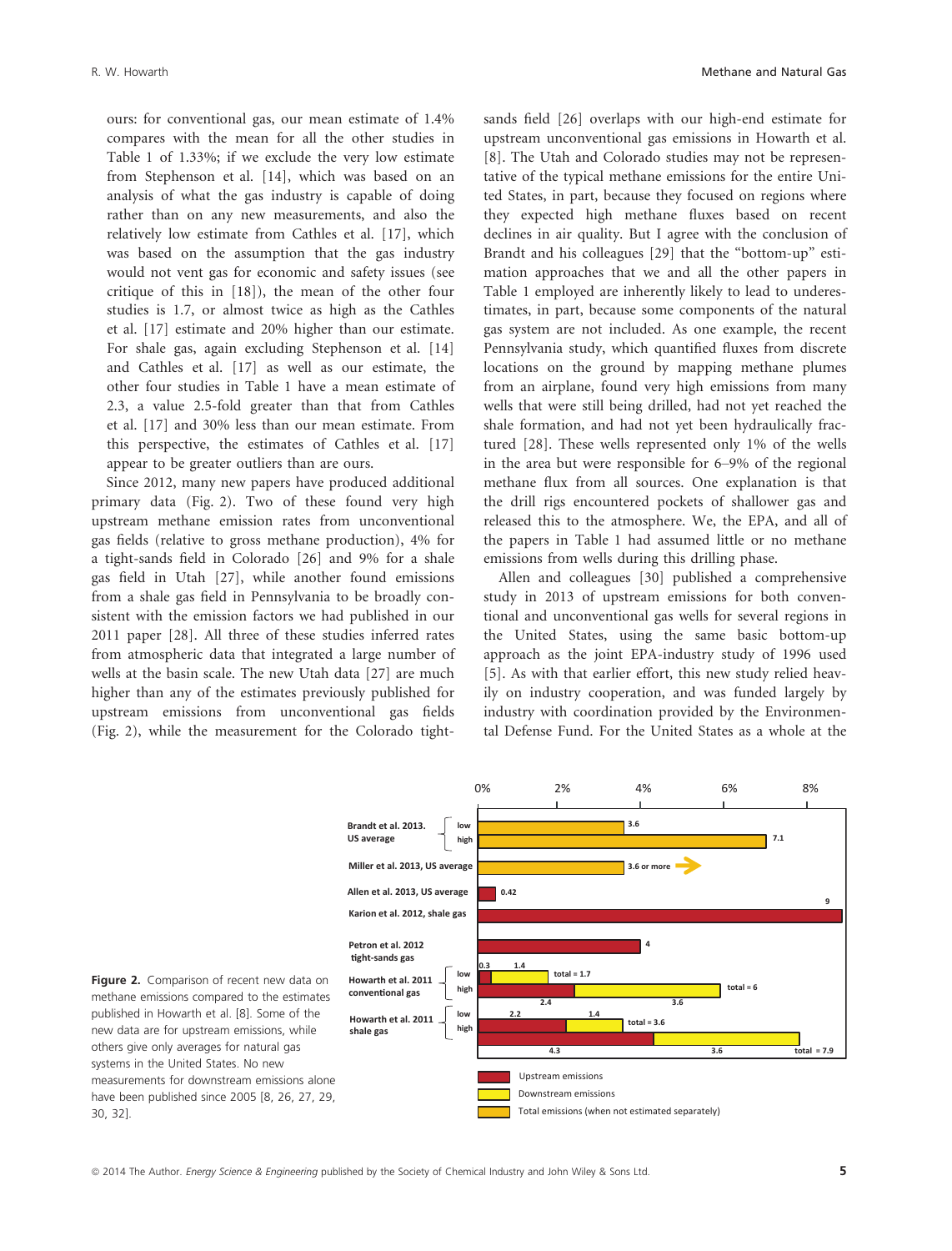ours: for conventional gas, our mean estimate of 1.4% compares with the mean for all the other studies in Table 1 of 1.33%; if we exclude the very low estimate from Stephenson et al. [14], which was based on an analysis of what the gas industry is capable of doing rather than on any new measurements, and also the relatively low estimate from Cathles et al. [17], which was based on the assumption that the gas industry would not vent gas for economic and safety issues (see critique of this in [18]), the mean of the other four studies is 1.7, or almost twice as high as the Cathles et al. [17] estimate and 20% higher than our estimate. For shale gas, again excluding Stephenson et al. [14] and Cathles et al. [17] as well as our estimate, the other four studies in Table 1 have a mean estimate of 2.3, a value 2.5-fold greater than that from Cathles et al. [17] and 30% less than our mean estimate. From this perspective, the estimates of Cathles et al. [17] appear to be greater outliers than are ours.

Since 2012, many new papers have produced additional primary data (Fig. 2). Two of these found very high upstream methane emission rates from unconventional gas fields (relative to gross methane production), 4% for a tight-sands field in Colorado [26] and 9% for a shale gas field in Utah [27], while another found emissions from a shale gas field in Pennsylvania to be broadly consistent with the emission factors we had published in our 2011 paper [28]. All three of these studies inferred rates from atmospheric data that integrated a large number of wells at the basin scale. The new Utah data [27] are much higher than any of the estimates previously published for upstream emissions from unconventional gas fields (Fig. 2), while the measurement for the Colorado tightsands field [26] overlaps with our high-end estimate for upstream unconventional gas emissions in Howarth et al. [8]. The Utah and Colorado studies may not be representative of the typical methane emissions for the entire United States, in part, because they focused on regions where they expected high methane fluxes based on recent declines in air quality. But I agree with the conclusion of Brandt and his colleagues [29] that the "bottom-up" estimation approaches that we and all the other papers in Table 1 employed are inherently likely to lead to underestimates, in part, because some components of the natural gas system are not included. As one example, the recent Pennsylvania study, which quantified fluxes from discrete locations on the ground by mapping methane plumes from an airplane, found very high emissions from many wells that were still being drilled, had not yet reached the shale formation, and had not yet been hydraulically fractured [28]. These wells represented only 1% of the wells in the area but were responsible for 6–9% of the regional methane flux from all sources. One explanation is that the drill rigs encountered pockets of shallower gas and released this to the atmosphere. We, the EPA, and all of the papers in Table 1 had assumed little or no methane emissions from wells during this drilling phase.

Allen and colleagues [30] published a comprehensive study in 2013 of upstream emissions for both conventional and unconventional gas wells for several regions in the United States, using the same basic bottom-up approach as the joint EPA-industry study of 1996 used [5]. As with that earlier effort, this new study relied heavily on industry cooperation, and was funded largely by industry with coordination provided by the Environmental Defense Fund. For the United States as a whole at the



new data are for upstream emissions, while others give only averages for natural gas systems in the United States. No new measurements for downstream emissions alone have been published since 2005 [8, 26, 27, 29, 30, 32].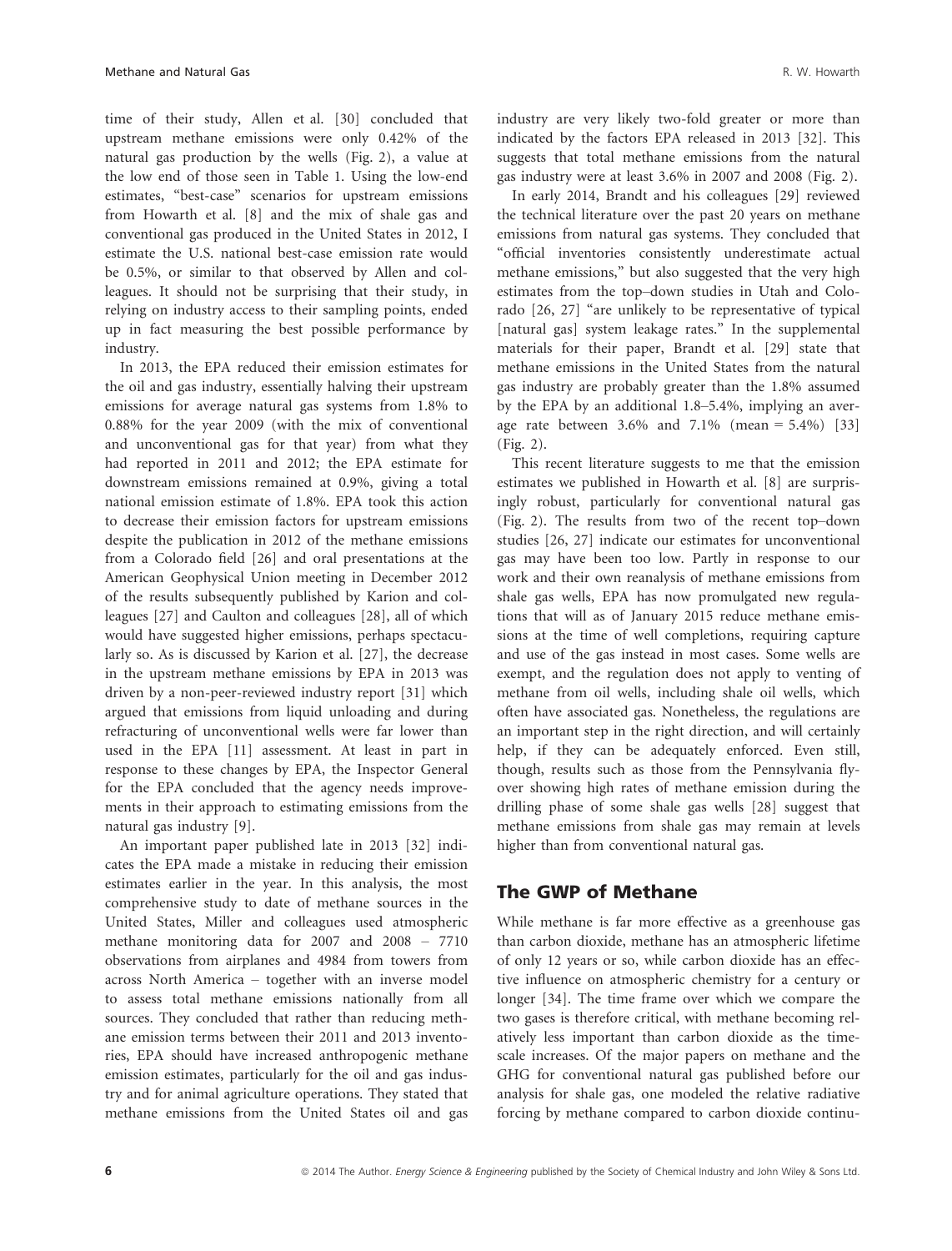time of their study, Allen et al. [30] concluded that upstream methane emissions were only 0.42% of the natural gas production by the wells (Fig. 2), a value at the low end of those seen in Table 1. Using the low-end estimates, "best-case" scenarios for upstream emissions from Howarth et al. [8] and the mix of shale gas and conventional gas produced in the United States in 2012, I estimate the U.S. national best-case emission rate would be 0.5%, or similar to that observed by Allen and colleagues. It should not be surprising that their study, in relying on industry access to their sampling points, ended up in fact measuring the best possible performance by industry.

In 2013, the EPA reduced their emission estimates for the oil and gas industry, essentially halving their upstream emissions for average natural gas systems from 1.8% to 0.88% for the year 2009 (with the mix of conventional and unconventional gas for that year) from what they had reported in 2011 and 2012; the EPA estimate for downstream emissions remained at 0.9%, giving a total national emission estimate of 1.8%. EPA took this action to decrease their emission factors for upstream emissions despite the publication in 2012 of the methane emissions from a Colorado field [26] and oral presentations at the American Geophysical Union meeting in December 2012 of the results subsequently published by Karion and colleagues [27] and Caulton and colleagues [28], all of which would have suggested higher emissions, perhaps spectacularly so. As is discussed by Karion et al. [27], the decrease in the upstream methane emissions by EPA in 2013 was driven by a non-peer-reviewed industry report [31] which argued that emissions from liquid unloading and during refracturing of unconventional wells were far lower than used in the EPA [11] assessment. At least in part in response to these changes by EPA, the Inspector General for the EPA concluded that the agency needs improvements in their approach to estimating emissions from the natural gas industry [9].

An important paper published late in 2013 [32] indicates the EPA made a mistake in reducing their emission estimates earlier in the year. In this analysis, the most comprehensive study to date of methane sources in the United States, Miller and colleagues used atmospheric methane monitoring data for 2007 and 2008 – 7710 observations from airplanes and 4984 from towers from across North America – together with an inverse model to assess total methane emissions nationally from all sources. They concluded that rather than reducing methane emission terms between their 2011 and 2013 inventories, EPA should have increased anthropogenic methane emission estimates, particularly for the oil and gas industry and for animal agriculture operations. They stated that methane emissions from the United States oil and gas industry are very likely two-fold greater or more than indicated by the factors EPA released in 2013 [32]. This suggests that total methane emissions from the natural gas industry were at least 3.6% in 2007 and 2008 (Fig. 2).

In early 2014, Brandt and his colleagues [29] reviewed the technical literature over the past 20 years on methane emissions from natural gas systems. They concluded that "official inventories consistently underestimate actual methane emissions," but also suggested that the very high estimates from the top–down studies in Utah and Colorado [26, 27] "are unlikely to be representative of typical [natural gas] system leakage rates." In the supplemental materials for their paper, Brandt et al. [29] state that methane emissions in the United States from the natural gas industry are probably greater than the 1.8% assumed by the EPA by an additional 1.8–5.4%, implying an average rate between 3.6% and 7.1% (mean = 5.4%) [33] (Fig. 2).

This recent literature suggests to me that the emission estimates we published in Howarth et al. [8] are surprisingly robust, particularly for conventional natural gas (Fig. 2). The results from two of the recent top–down studies [26, 27] indicate our estimates for unconventional gas may have been too low. Partly in response to our work and their own reanalysis of methane emissions from shale gas wells, EPA has now promulgated new regulations that will as of January 2015 reduce methane emissions at the time of well completions, requiring capture and use of the gas instead in most cases. Some wells are exempt, and the regulation does not apply to venting of methane from oil wells, including shale oil wells, which often have associated gas. Nonetheless, the regulations are an important step in the right direction, and will certainly help, if they can be adequately enforced. Even still, though, results such as those from the Pennsylvania flyover showing high rates of methane emission during the drilling phase of some shale gas wells [28] suggest that methane emissions from shale gas may remain at levels higher than from conventional natural gas.

# The GWP of Methane

While methane is far more effective as a greenhouse gas than carbon dioxide, methane has an atmospheric lifetime of only 12 years or so, while carbon dioxide has an effective influence on atmospheric chemistry for a century or longer [34]. The time frame over which we compare the two gases is therefore critical, with methane becoming relatively less important than carbon dioxide as the timescale increases. Of the major papers on methane and the GHG for conventional natural gas published before our analysis for shale gas, one modeled the relative radiative forcing by methane compared to carbon dioxide continu-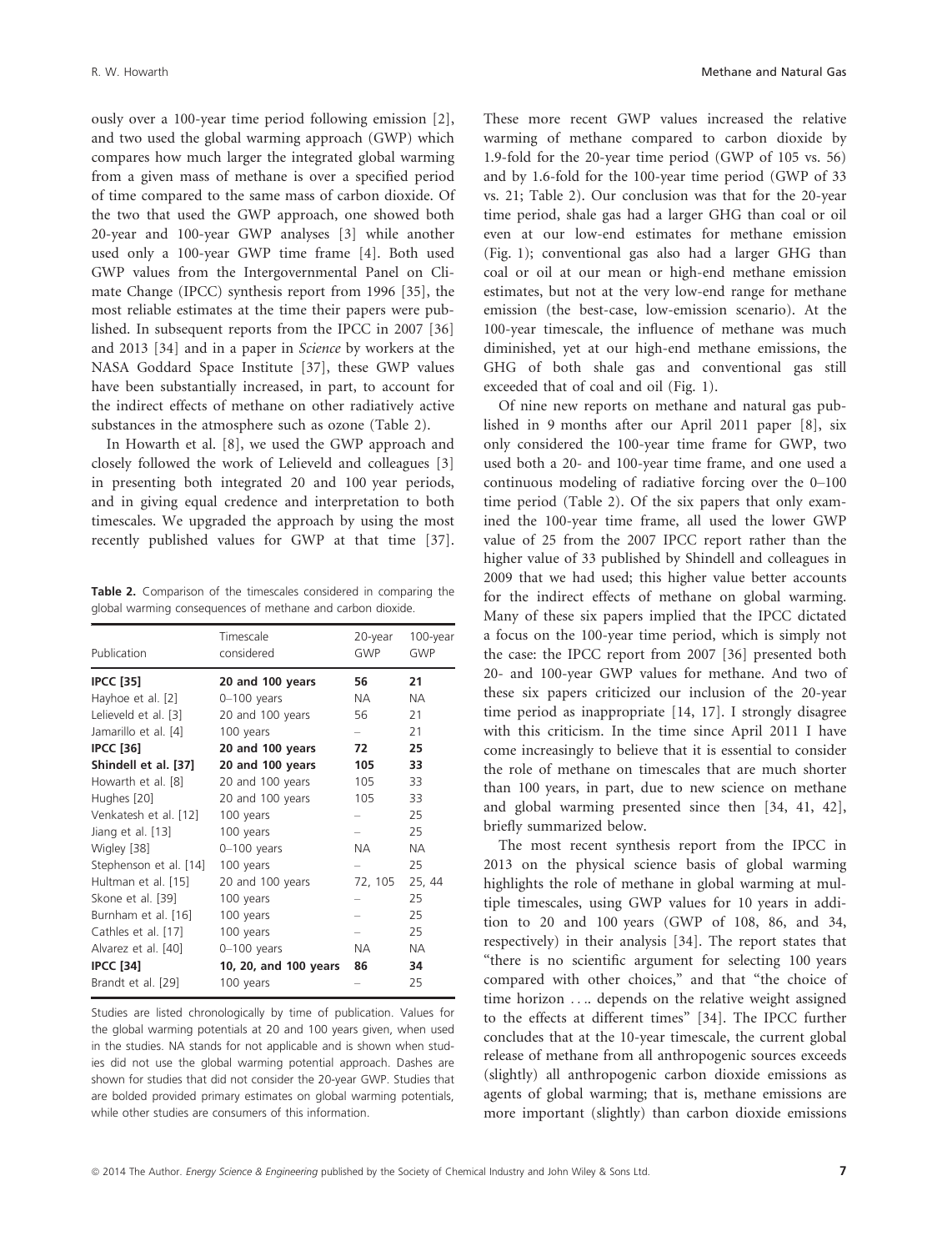ously over a 100-year time period following emission [2], and two used the global warming approach (GWP) which compares how much larger the integrated global warming from a given mass of methane is over a specified period of time compared to the same mass of carbon dioxide. Of the two that used the GWP approach, one showed both 20-year and 100-year GWP analyses [3] while another used only a 100-year GWP time frame [4]. Both used GWP values from the Intergovernmental Panel on Climate Change (IPCC) synthesis report from 1996 [35], the most reliable estimates at the time their papers were published. In subsequent reports from the IPCC in 2007 [36] and 2013 [34] and in a paper in Science by workers at the NASA Goddard Space Institute [37], these GWP values have been substantially increased, in part, to account for the indirect effects of methane on other radiatively active substances in the atmosphere such as ozone (Table 2).

In Howarth et al. [8], we used the GWP approach and closely followed the work of Lelieveld and colleagues [3] in presenting both integrated 20 and 100 year periods, and in giving equal credence and interpretation to both timescales. We upgraded the approach by using the most recently published values for GWP at that time [37].

Table 2. Comparison of the timescales considered in comparing the global warming consequences of methane and carbon dioxide.

| Publication                              | Timescale<br>considered       | 20-year<br><b>GWP</b>          | 100-year<br><b>GWP</b> |
|------------------------------------------|-------------------------------|--------------------------------|------------------------|
| <b>IPCC [35]</b>                         | 20 and 100 years              | 56                             | 21                     |
| Hayhoe et al. [2]                        | $0-100$ years                 | NA.                            | NA.                    |
| Lelieveld et al. [3]                     |                               | 56                             | 21                     |
|                                          | 20 and 100 years              |                                | 21                     |
| Jamarillo et al. [4]<br><b>IPCC [36]</b> | 100 years<br>20 and 100 years | $\overline{\phantom{0}}$<br>72 | 25                     |
| Shindell et al. [37]                     | 20 and 100 years              | 105                            | 33                     |
| Howarth et al. [8]                       | 20 and 100 years              | 105                            | 33                     |
|                                          |                               | 105                            | 33                     |
| Hughes [20]                              | 20 and 100 years              |                                |                        |
| Venkatesh et al. [12]                    | 100 years                     |                                | 25                     |
| Jiang et al. [13]                        | 100 years                     |                                | 25                     |
| Wigley [38]                              | $0-100$ years                 | NА                             | <b>NA</b>              |
| Stephenson et al. [14]                   | 100 years                     |                                | 25                     |
| Hultman et al. [15]                      | 20 and 100 years              | 72, 105                        | 25, 44                 |
| Skone et al. [39]                        | 100 years                     |                                | 25                     |
| Burnham et al. [16]                      | 100 years                     |                                | 25                     |
| Cathles et al. [17]                      | 100 years                     |                                | 25                     |
| Alvarez et al. [40]                      | $0-100$ years                 | NА                             | <b>NA</b>              |
| <b>IPCC [34]</b>                         | 10, 20, and 100 years         | 86                             | 34                     |
| Brandt et al. [29]                       | 100 years                     |                                | 25                     |

Studies are listed chronologically by time of publication. Values for the global warming potentials at 20 and 100 years given, when used in the studies. NA stands for not applicable and is shown when studies did not use the global warming potential approach. Dashes are shown for studies that did not consider the 20-year GWP. Studies that are bolded provided primary estimates on global warming potentials, while other studies are consumers of this information.

These more recent GWP values increased the relative warming of methane compared to carbon dioxide by 1.9-fold for the 20-year time period (GWP of 105 vs. 56) and by 1.6-fold for the 100-year time period (GWP of 33 vs. 21; Table 2). Our conclusion was that for the 20-year time period, shale gas had a larger GHG than coal or oil even at our low-end estimates for methane emission (Fig. 1); conventional gas also had a larger GHG than coal or oil at our mean or high-end methane emission estimates, but not at the very low-end range for methane emission (the best-case, low-emission scenario). At the 100-year timescale, the influence of methane was much diminished, yet at our high-end methane emissions, the GHG of both shale gas and conventional gas still exceeded that of coal and oil (Fig. 1).

Of nine new reports on methane and natural gas published in 9 months after our April 2011 paper [8], six only considered the 100-year time frame for GWP, two used both a 20- and 100-year time frame, and one used a continuous modeling of radiative forcing over the 0–100 time period (Table 2). Of the six papers that only examined the 100-year time frame, all used the lower GWP value of 25 from the 2007 IPCC report rather than the higher value of 33 published by Shindell and colleagues in 2009 that we had used; this higher value better accounts for the indirect effects of methane on global warming. Many of these six papers implied that the IPCC dictated a focus on the 100-year time period, which is simply not the case: the IPCC report from 2007 [36] presented both 20- and 100-year GWP values for methane. And two of these six papers criticized our inclusion of the 20-year time period as inappropriate [14, 17]. I strongly disagree with this criticism. In the time since April 2011 I have come increasingly to believe that it is essential to consider the role of methane on timescales that are much shorter than 100 years, in part, due to new science on methane and global warming presented since then [34, 41, 42], briefly summarized below.

The most recent synthesis report from the IPCC in 2013 on the physical science basis of global warming highlights the role of methane in global warming at multiple timescales, using GWP values for 10 years in addition to 20 and 100 years (GWP of 108, 86, and 34, respectively) in their analysis [34]. The report states that "there is no scientific argument for selecting 100 years compared with other choices," and that "the choice of time horizon .... depends on the relative weight assigned to the effects at different times" [34]. The IPCC further concludes that at the 10-year timescale, the current global release of methane from all anthropogenic sources exceeds (slightly) all anthropogenic carbon dioxide emissions as agents of global warming; that is, methane emissions are more important (slightly) than carbon dioxide emissions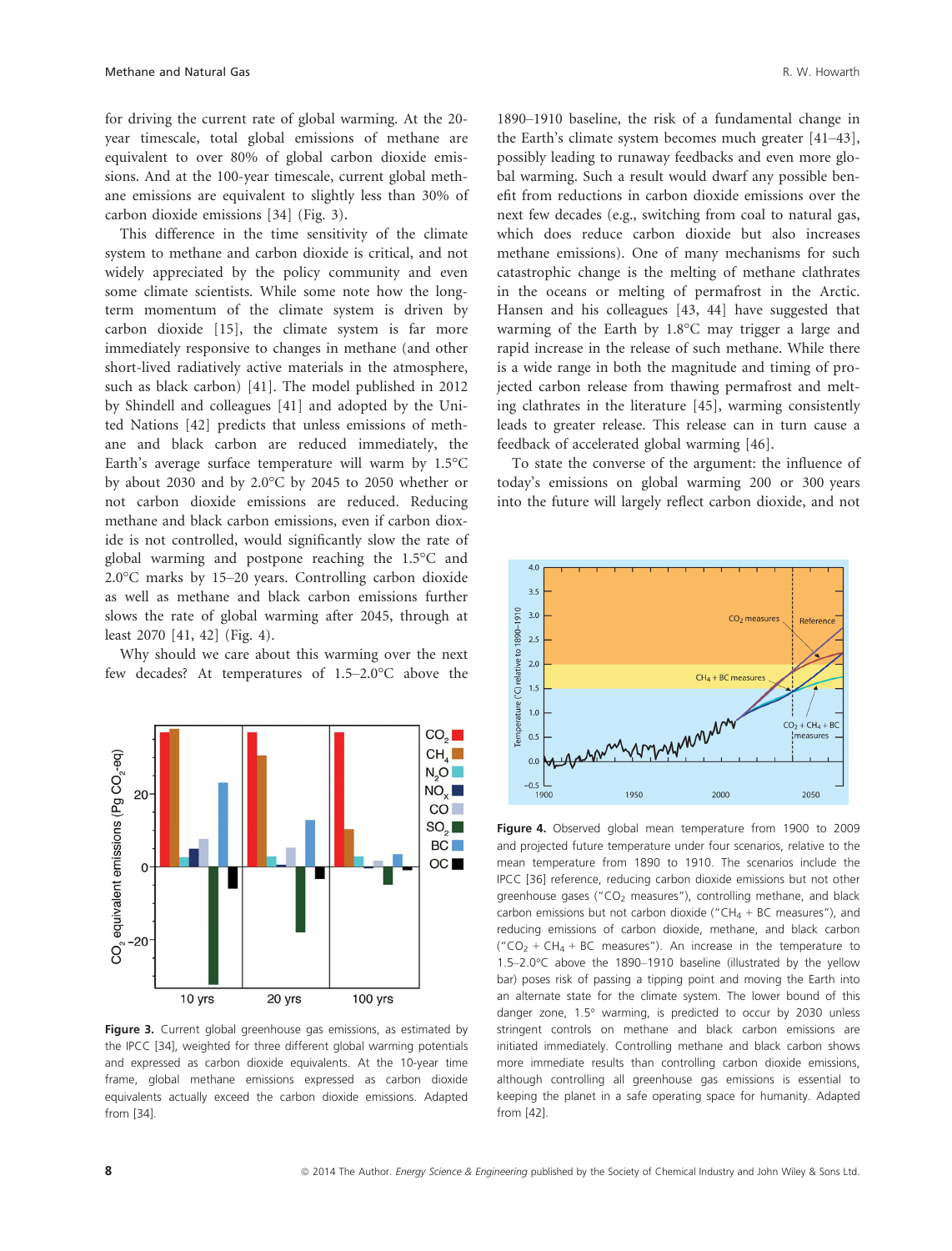for driving the current rate of global warming. At the 20 year timescale, total global emissions of methane are equivalent to over 80% of global carbon dioxide emissions. And at the 100-year timescale, current global methane emissions are equivalent to slightly less than 30% of carbon dioxide emissions [34] (Fig. 3).

This difference in the time sensitivity of the climate system to methane and carbon dioxide is critical, and not widely appreciated by the policy community and even some climate scientists. While some note how the longterm momentum of the climate system is driven by carbon dioxide [15], the climate system is far more immediately responsive to changes in methane (and other short-lived radiatively active materials in the atmosphere, such as black carbon) [41]. The model published in 2012 by Shindell and colleagues [41] and adopted by the United Nations [42] predicts that unless emissions of methane and black carbon are reduced immediately, the Earth's average surface temperature will warm by 1.5°C by about 2030 and by 2.0°C by 2045 to 2050 whether or not carbon dioxide emissions are reduced. Reducing methane and black carbon emissions, even if carbon dioxide is not controlled, would significantly slow the rate of global warming and postpone reaching the 1.5°C and 2.0°C marks by 15–20 years. Controlling carbon dioxide as well as methane and black carbon emissions further slows the rate of global warming after 2045, through at least 2070 [41, 42] (Fig. 4).

Why should we care about this warming over the next few decades? At temperatures of 1.5–2.0°C above the



Figure 3. Current global greenhouse gas emissions, as estimated by the IPCC [34], weighted for three different global warming potentials and expressed as carbon dioxide equivalents. At the 10-year time frame, global methane emissions expressed as carbon dioxide equivalents actually exceed the carbon dioxide emissions. Adapted from [34].

1890–1910 baseline, the risk of a fundamental change in the Earth's climate system becomes much greater [41–43], possibly leading to runaway feedbacks and even more global warming. Such a result would dwarf any possible benefit from reductions in carbon dioxide emissions over the next few decades (e.g., switching from coal to natural gas, which does reduce carbon dioxide but also increases methane emissions). One of many mechanisms for such catastrophic change is the melting of methane clathrates in the oceans or melting of permafrost in the Arctic. Hansen and his colleagues [43, 44] have suggested that warming of the Earth by 1.8°C may trigger a large and rapid increase in the release of such methane. While there is a wide range in both the magnitude and timing of projected carbon release from thawing permafrost and melting clathrates in the literature [45], warming consistently leads to greater release. This release can in turn cause a feedback of accelerated global warming [46].

To state the converse of the argument: the influence of today's emissions on global warming 200 or 300 years into the future will largely reflect carbon dioxide, and not



Figure 4. Observed global mean temperature from 1900 to 2009 and projected future temperature under four scenarios, relative to the mean temperature from 1890 to 1910. The scenarios include the IPCC [36] reference, reducing carbon dioxide emissions but not other greenhouse gases (" $CO<sub>2</sub>$  measures"), controlling methane, and black carbon emissions but not carbon dioxide ("CH<sub>4</sub> + BC measures"), and reducing emissions of carbon dioxide, methane, and black carbon ("CO<sub>2</sub> + CH<sub>4</sub> + BC measures"). An increase in the temperature to 1.5–2.0°C above the 1890–1910 baseline (illustrated by the yellow bar) poses risk of passing a tipping point and moving the Earth into an alternate state for the climate system. The lower bound of this danger zone, 1.5° warming, is predicted to occur by 2030 unless stringent controls on methane and black carbon emissions are initiated immediately. Controlling methane and black carbon shows more immediate results than controlling carbon dioxide emissions, although controlling all greenhouse gas emissions is essential to keeping the planet in a safe operating space for humanity. Adapted from [42].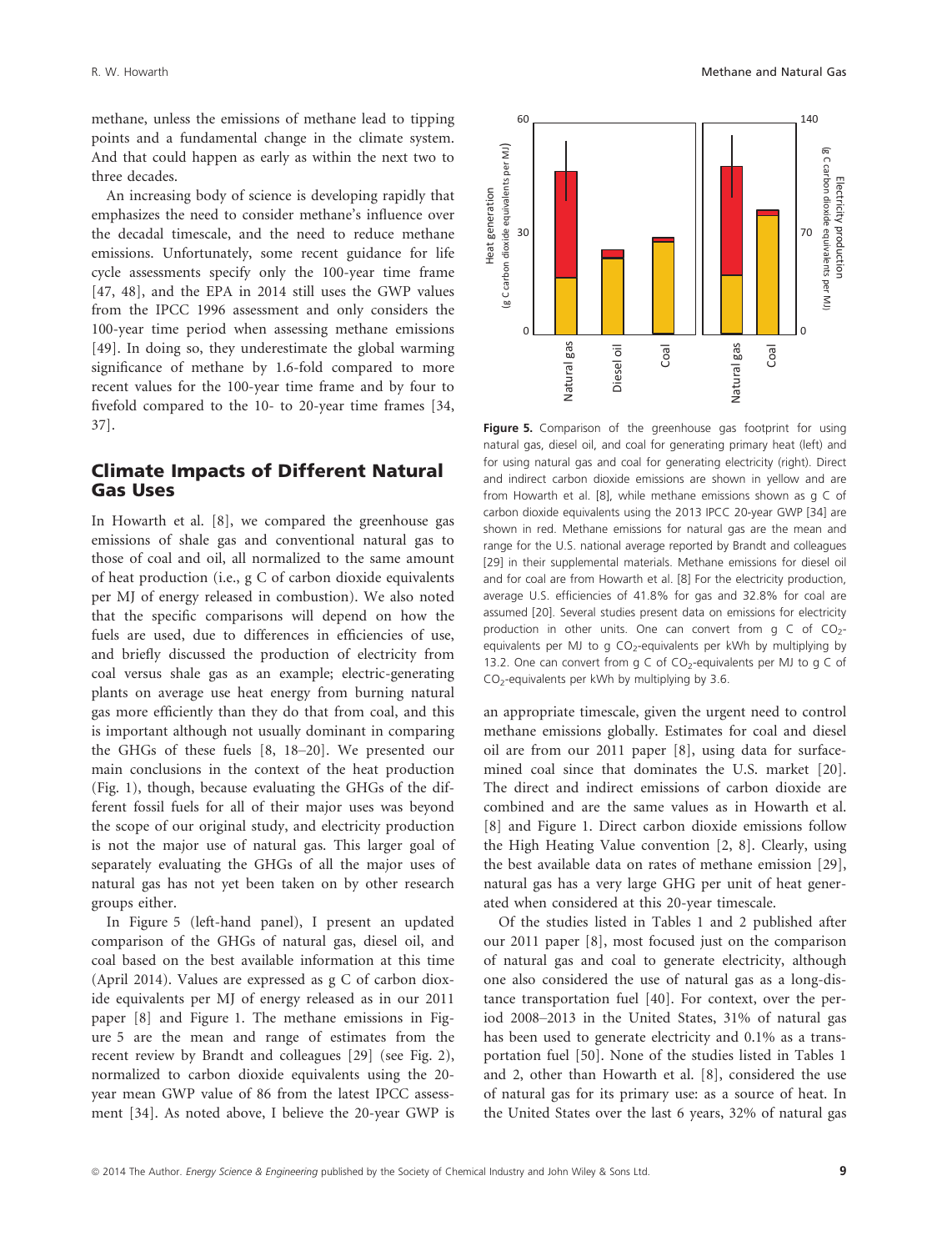methane, unless the emissions of methane lead to tipping points and a fundamental change in the climate system. And that could happen as early as within the next two to three decades.

An increasing body of science is developing rapidly that emphasizes the need to consider methane's influence over the decadal timescale, and the need to reduce methane emissions. Unfortunately, some recent guidance for life cycle assessments specify only the 100-year time frame [47, 48], and the EPA in 2014 still uses the GWP values from the IPCC 1996 assessment and only considers the 100-year time period when assessing methane emissions [49]. In doing so, they underestimate the global warming significance of methane by 1.6-fold compared to more recent values for the 100-year time frame and by four to fivefold compared to the 10- to 20-year time frames [34, 37].

### Climate Impacts of Different Natural Gas Uses

In Howarth et al. [8], we compared the greenhouse gas emissions of shale gas and conventional natural gas to those of coal and oil, all normalized to the same amount of heat production (i.e., g C of carbon dioxide equivalents per MJ of energy released in combustion). We also noted that the specific comparisons will depend on how the fuels are used, due to differences in efficiencies of use, and briefly discussed the production of electricity from coal versus shale gas as an example; electric-generating plants on average use heat energy from burning natural gas more efficiently than they do that from coal, and this is important although not usually dominant in comparing the GHGs of these fuels [8, 18–20]. We presented our main conclusions in the context of the heat production (Fig. 1), though, because evaluating the GHGs of the different fossil fuels for all of their major uses was beyond the scope of our original study, and electricity production is not the major use of natural gas. This larger goal of separately evaluating the GHGs of all the major uses of natural gas has not yet been taken on by other research groups either.

In Figure 5 (left-hand panel), I present an updated comparison of the GHGs of natural gas, diesel oil, and coal based on the best available information at this time (April 2014). Values are expressed as g C of carbon dioxide equivalents per MJ of energy released as in our 2011 paper [8] and Figure 1. The methane emissions in Figure 5 are the mean and range of estimates from the recent review by Brandt and colleagues [29] (see Fig. 2), normalized to carbon dioxide equivalents using the 20 year mean GWP value of 86 from the latest IPCC assessment [34]. As noted above, I believe the 20-year GWP is



Figure 5. Comparison of the greenhouse gas footprint for using natural gas, diesel oil, and coal for generating primary heat (left) and for using natural gas and coal for generating electricity (right). Direct and indirect carbon dioxide emissions are shown in yellow and are from Howarth et al. [8], while methane emissions shown as g C of carbon dioxide equivalents using the 2013 IPCC 20-year GWP [34] are shown in red. Methane emissions for natural gas are the mean and range for the U.S. national average reported by Brandt and colleagues [29] in their supplemental materials. Methane emissions for diesel oil and for coal are from Howarth et al. [8] For the electricity production, average U.S. efficiencies of 41.8% for gas and 32.8% for coal are assumed [20]. Several studies present data on emissions for electricity production in other units. One can convert from  $q \text{ } C$  of  $CO_{2}$ equivalents per MJ to g CO<sub>2</sub>-equivalents per kWh by multiplying by 13.2. One can convert from  $q \in G$  of  $CO<sub>2</sub>$ -equivalents per MJ to  $q \in G$  of  $CO<sub>2</sub>$ -equivalents per kWh by multiplying by 3.6.

an appropriate timescale, given the urgent need to control methane emissions globally. Estimates for coal and diesel oil are from our 2011 paper [8], using data for surfacemined coal since that dominates the U.S. market [20]. The direct and indirect emissions of carbon dioxide are combined and are the same values as in Howarth et al. [8] and Figure 1. Direct carbon dioxide emissions follow the High Heating Value convention [2, 8]. Clearly, using the best available data on rates of methane emission [29], natural gas has a very large GHG per unit of heat generated when considered at this 20-year timescale.

Of the studies listed in Tables 1 and 2 published after our 2011 paper [8], most focused just on the comparison of natural gas and coal to generate electricity, although one also considered the use of natural gas as a long-distance transportation fuel [40]. For context, over the period 2008–2013 in the United States, 31% of natural gas has been used to generate electricity and 0.1% as a transportation fuel [50]. None of the studies listed in Tables 1 and 2, other than Howarth et al. [8], considered the use of natural gas for its primary use: as a source of heat. In the United States over the last 6 years, 32% of natural gas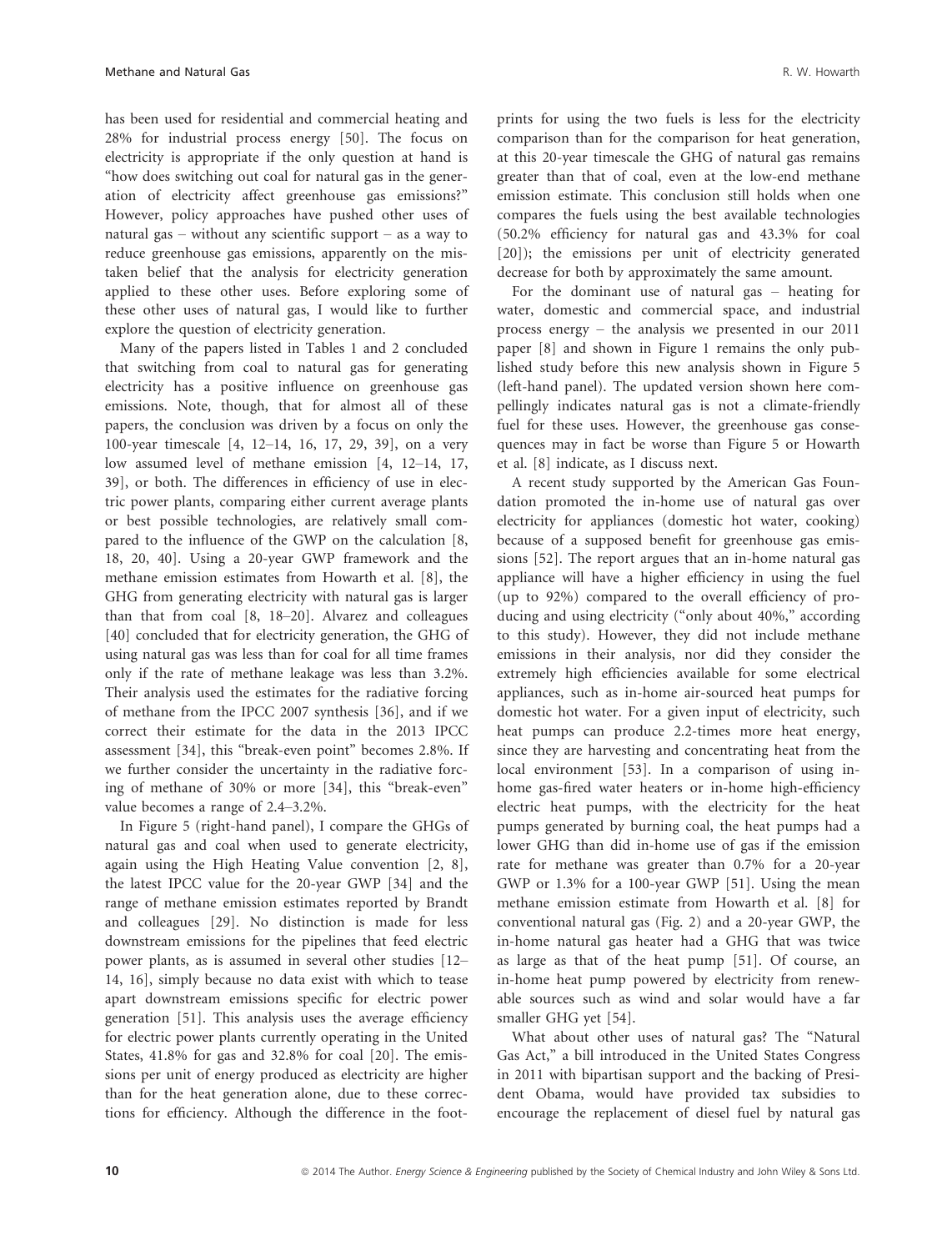has been used for residential and commercial heating and 28% for industrial process energy [50]. The focus on electricity is appropriate if the only question at hand is "how does switching out coal for natural gas in the generation of electricity affect greenhouse gas emissions?" However, policy approaches have pushed other uses of natural gas – without any scientific support – as a way to reduce greenhouse gas emissions, apparently on the mistaken belief that the analysis for electricity generation applied to these other uses. Before exploring some of these other uses of natural gas, I would like to further explore the question of electricity generation.

Many of the papers listed in Tables 1 and 2 concluded that switching from coal to natural gas for generating electricity has a positive influence on greenhouse gas emissions. Note, though, that for almost all of these papers, the conclusion was driven by a focus on only the 100-year timescale [4, 12–14, 16, 17, 29, 39], on a very low assumed level of methane emission [4, 12–14, 17, 39], or both. The differences in efficiency of use in electric power plants, comparing either current average plants or best possible technologies, are relatively small compared to the influence of the GWP on the calculation [8, 18, 20, 40]. Using a 20-year GWP framework and the methane emission estimates from Howarth et al. [8], the GHG from generating electricity with natural gas is larger than that from coal [8, 18–20]. Alvarez and colleagues [40] concluded that for electricity generation, the GHG of using natural gas was less than for coal for all time frames only if the rate of methane leakage was less than 3.2%. Their analysis used the estimates for the radiative forcing of methane from the IPCC 2007 synthesis [36], and if we correct their estimate for the data in the 2013 IPCC assessment [34], this "break-even point" becomes 2.8%. If we further consider the uncertainty in the radiative forcing of methane of 30% or more [34], this "break-even" value becomes a range of 2.4–3.2%.

In Figure 5 (right-hand panel), I compare the GHGs of natural gas and coal when used to generate electricity, again using the High Heating Value convention [2, 8], the latest IPCC value for the 20-year GWP [34] and the range of methane emission estimates reported by Brandt and colleagues [29]. No distinction is made for less downstream emissions for the pipelines that feed electric power plants, as is assumed in several other studies [12– 14, 16], simply because no data exist with which to tease apart downstream emissions specific for electric power generation [51]. This analysis uses the average efficiency for electric power plants currently operating in the United States, 41.8% for gas and 32.8% for coal [20]. The emissions per unit of energy produced as electricity are higher than for the heat generation alone, due to these corrections for efficiency. Although the difference in the footprints for using the two fuels is less for the electricity comparison than for the comparison for heat generation, at this 20-year timescale the GHG of natural gas remains greater than that of coal, even at the low-end methane emission estimate. This conclusion still holds when one compares the fuels using the best available technologies (50.2% efficiency for natural gas and 43.3% for coal [20]); the emissions per unit of electricity generated decrease for both by approximately the same amount.

For the dominant use of natural gas – heating for water, domestic and commercial space, and industrial process energy – the analysis we presented in our 2011 paper [8] and shown in Figure 1 remains the only published study before this new analysis shown in Figure 5 (left-hand panel). The updated version shown here compellingly indicates natural gas is not a climate-friendly fuel for these uses. However, the greenhouse gas consequences may in fact be worse than Figure 5 or Howarth et al. [8] indicate, as I discuss next.

A recent study supported by the American Gas Foundation promoted the in-home use of natural gas over electricity for appliances (domestic hot water, cooking) because of a supposed benefit for greenhouse gas emissions [52]. The report argues that an in-home natural gas appliance will have a higher efficiency in using the fuel (up to 92%) compared to the overall efficiency of producing and using electricity ("only about 40%," according to this study). However, they did not include methane emissions in their analysis, nor did they consider the extremely high efficiencies available for some electrical appliances, such as in-home air-sourced heat pumps for domestic hot water. For a given input of electricity, such heat pumps can produce 2.2-times more heat energy, since they are harvesting and concentrating heat from the local environment [53]. In a comparison of using inhome gas-fired water heaters or in-home high-efficiency electric heat pumps, with the electricity for the heat pumps generated by burning coal, the heat pumps had a lower GHG than did in-home use of gas if the emission rate for methane was greater than 0.7% for a 20-year GWP or 1.3% for a 100-year GWP [51]. Using the mean methane emission estimate from Howarth et al. [8] for conventional natural gas (Fig. 2) and a 20-year GWP, the in-home natural gas heater had a GHG that was twice as large as that of the heat pump [51]. Of course, an in-home heat pump powered by electricity from renewable sources such as wind and solar would have a far smaller GHG yet [54].

What about other uses of natural gas? The "Natural Gas Act," a bill introduced in the United States Congress in 2011 with bipartisan support and the backing of President Obama, would have provided tax subsidies to encourage the replacement of diesel fuel by natural gas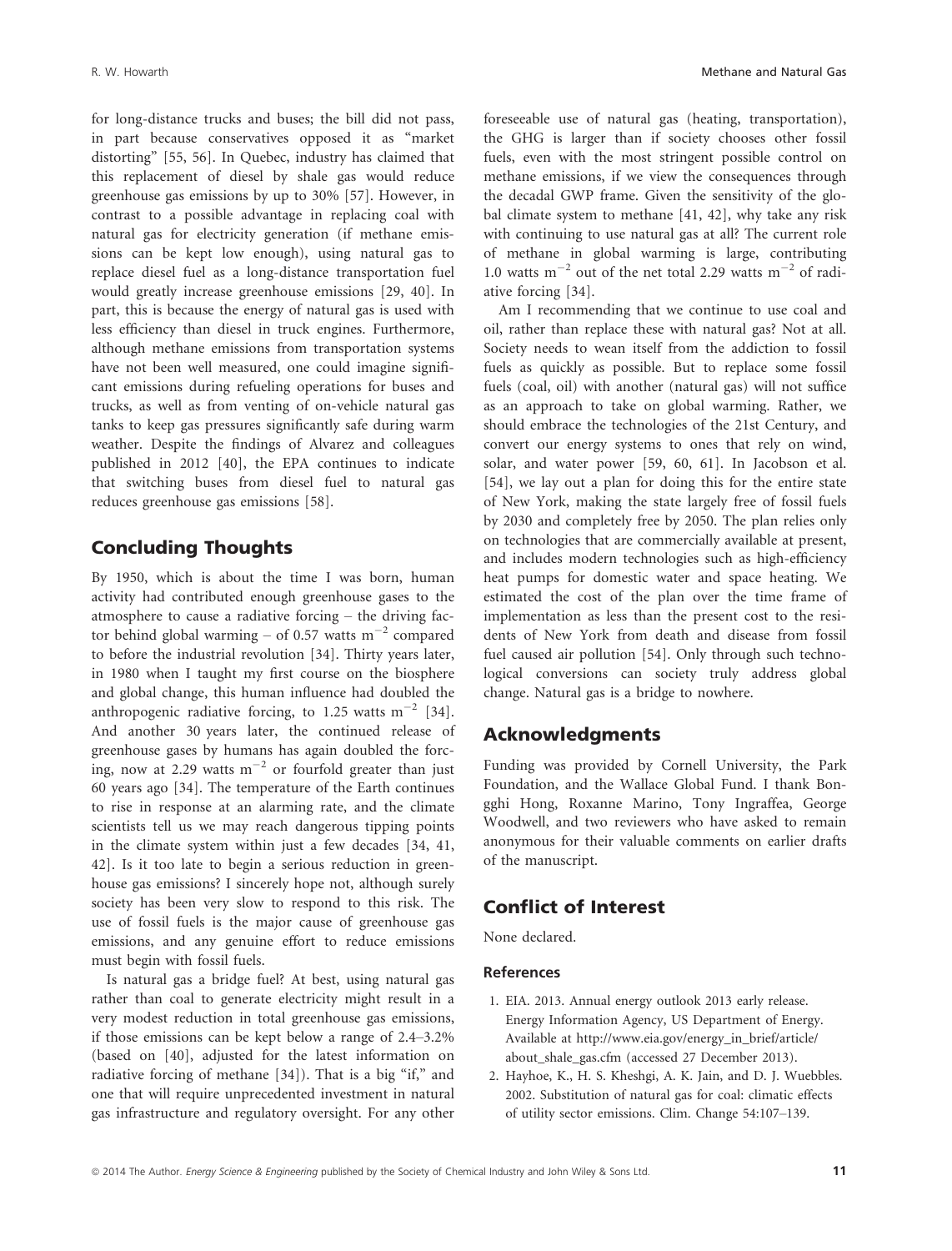for long-distance trucks and buses; the bill did not pass, in part because conservatives opposed it as "market distorting" [55, 56]. In Quebec, industry has claimed that this replacement of diesel by shale gas would reduce greenhouse gas emissions by up to 30% [57]. However, in contrast to a possible advantage in replacing coal with natural gas for electricity generation (if methane emissions can be kept low enough), using natural gas to replace diesel fuel as a long-distance transportation fuel would greatly increase greenhouse emissions [29, 40]. In part, this is because the energy of natural gas is used with less efficiency than diesel in truck engines. Furthermore, although methane emissions from transportation systems have not been well measured, one could imagine significant emissions during refueling operations for buses and trucks, as well as from venting of on-vehicle natural gas tanks to keep gas pressures significantly safe during warm weather. Despite the findings of Alvarez and colleagues published in 2012 [40], the EPA continues to indicate that switching buses from diesel fuel to natural gas reduces greenhouse gas emissions [58].

# Concluding Thoughts

By 1950, which is about the time I was born, human activity had contributed enough greenhouse gases to the atmosphere to cause a radiative forcing – the driving factor behind global warming – of 0.57 watts  $m^{-2}$  compared to before the industrial revolution [34]. Thirty years later, in 1980 when I taught my first course on the biosphere and global change, this human influence had doubled the anthropogenic radiative forcing, to 1.25 watts  $m^{-2}$  [34]. And another 30 years later, the continued release of greenhouse gases by humans has again doubled the forcing, now at 2.29 watts  $m^{-2}$  or fourfold greater than just 60 years ago [34]. The temperature of the Earth continues to rise in response at an alarming rate, and the climate scientists tell us we may reach dangerous tipping points in the climate system within just a few decades [34, 41, 42]. Is it too late to begin a serious reduction in greenhouse gas emissions? I sincerely hope not, although surely society has been very slow to respond to this risk. The use of fossil fuels is the major cause of greenhouse gas emissions, and any genuine effort to reduce emissions must begin with fossil fuels.

Is natural gas a bridge fuel? At best, using natural gas rather than coal to generate electricity might result in a very modest reduction in total greenhouse gas emissions, if those emissions can be kept below a range of 2.4–3.2% (based on [40], adjusted for the latest information on radiative forcing of methane [34]). That is a big "if," and one that will require unprecedented investment in natural gas infrastructure and regulatory oversight. For any other foreseeable use of natural gas (heating, transportation), the GHG is larger than if society chooses other fossil fuels, even with the most stringent possible control on methane emissions, if we view the consequences through the decadal GWP frame. Given the sensitivity of the global climate system to methane [41, 42], why take any risk with continuing to use natural gas at all? The current role of methane in global warming is large, contributing 1.0 watts  $m^{-2}$  out of the net total 2.29 watts  $m^{-2}$  of radiative forcing [34].

Am I recommending that we continue to use coal and oil, rather than replace these with natural gas? Not at all. Society needs to wean itself from the addiction to fossil fuels as quickly as possible. But to replace some fossil fuels (coal, oil) with another (natural gas) will not suffice as an approach to take on global warming. Rather, we should embrace the technologies of the 21st Century, and convert our energy systems to ones that rely on wind, solar, and water power [59, 60, 61]. In Jacobson et al. [54], we lay out a plan for doing this for the entire state of New York, making the state largely free of fossil fuels by 2030 and completely free by 2050. The plan relies only on technologies that are commercially available at present, and includes modern technologies such as high-efficiency heat pumps for domestic water and space heating. We estimated the cost of the plan over the time frame of implementation as less than the present cost to the residents of New York from death and disease from fossil fuel caused air pollution [54]. Only through such technological conversions can society truly address global change. Natural gas is a bridge to nowhere.

### Acknowledgments

Funding was provided by Cornell University, the Park Foundation, and the Wallace Global Fund. I thank Bongghi Hong, Roxanne Marino, Tony Ingraffea, George Woodwell, and two reviewers who have asked to remain anonymous for their valuable comments on earlier drafts of the manuscript.

# Conflict of Interest

None declared.

### References

- 1. EIA. 2013. Annual energy outlook 2013 early release. Energy Information Agency, US Department of Energy. Available at http://www.eia.gov/energy\_in\_brief/article/ about\_shale\_gas.cfm (accessed 27 December 2013).
- 2. Hayhoe, K., H. S. Kheshgi, A. K. Jain, and D. J. Wuebbles. 2002. Substitution of natural gas for coal: climatic effects of utility sector emissions. Clim. Change 54:107–139.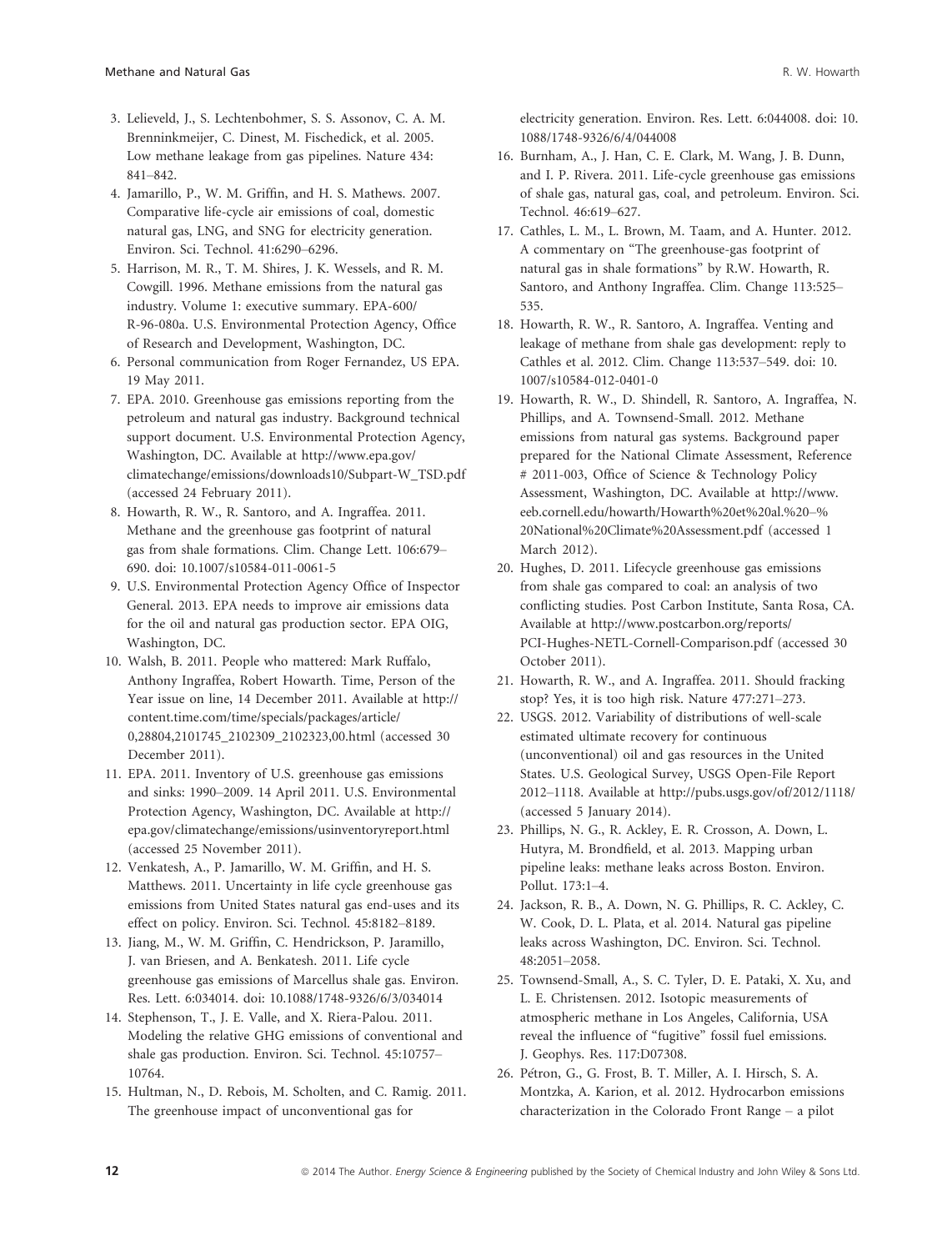- 3. Lelieveld, J., S. Lechtenbohmer, S. S. Assonov, C. A. M. Brenninkmeijer, C. Dinest, M. Fischedick, et al. 2005. Low methane leakage from gas pipelines. Nature 434: 841–842.
- 4. Jamarillo, P., W. M. Griffin, and H. S. Mathews. 2007. Comparative life-cycle air emissions of coal, domestic natural gas, LNG, and SNG for electricity generation. Environ. Sci. Technol. 41:6290–6296.
- 5. Harrison, M. R., T. M. Shires, J. K. Wessels, and R. M. Cowgill. 1996. Methane emissions from the natural gas industry. Volume 1: executive summary. EPA-600/ R-96-080a. U.S. Environmental Protection Agency, Office of Research and Development, Washington, DC.
- 6. Personal communication from Roger Fernandez, US EPA. 19 May 2011.
- 7. EPA. 2010. Greenhouse gas emissions reporting from the petroleum and natural gas industry. Background technical support document. U.S. Environmental Protection Agency, Washington, DC. Available at http://www.epa.gov/ climatechange/emissions/downloads10/Subpart-W\_TSD.pdf (accessed 24 February 2011).
- 8. Howarth, R. W., R. Santoro, and A. Ingraffea. 2011. Methane and the greenhouse gas footprint of natural gas from shale formations. Clim. Change Lett. 106:679– 690. doi: 10.1007/s10584-011-0061-5
- 9. U.S. Environmental Protection Agency Office of Inspector General. 2013. EPA needs to improve air emissions data for the oil and natural gas production sector. EPA OIG, Washington, DC.
- 10. Walsh, B. 2011. People who mattered: Mark Ruffalo, Anthony Ingraffea, Robert Howarth. Time, Person of the Year issue on line, 14 December 2011. Available at http:// content.time.com/time/specials/packages/article/ 0,28804,2101745\_2102309\_2102323,00.html (accessed 30 December 2011).
- 11. EPA. 2011. Inventory of U.S. greenhouse gas emissions and sinks: 1990–2009. 14 April 2011. U.S. Environmental Protection Agency, Washington, DC. Available at http:// epa.gov/climatechange/emissions/usinventoryreport.html (accessed 25 November 2011).
- 12. Venkatesh, A., P. Jamarillo, W. M. Griffin, and H. S. Matthews. 2011. Uncertainty in life cycle greenhouse gas emissions from United States natural gas end-uses and its effect on policy. Environ. Sci. Technol. 45:8182–8189.
- 13. Jiang, M., W. M. Griffin, C. Hendrickson, P. Jaramillo, J. van Briesen, and A. Benkatesh. 2011. Life cycle greenhouse gas emissions of Marcellus shale gas. Environ. Res. Lett. 6:034014. doi: 10.1088/1748-9326/6/3/034014
- 14. Stephenson, T., J. E. Valle, and X. Riera-Palou. 2011. Modeling the relative GHG emissions of conventional and shale gas production. Environ. Sci. Technol. 45:10757– 10764.
- 15. Hultman, N., D. Rebois, M. Scholten, and C. Ramig. 2011. The greenhouse impact of unconventional gas for

electricity generation. Environ. Res. Lett. 6:044008. doi: 10. 1088/1748-9326/6/4/044008

- 16. Burnham, A., J. Han, C. E. Clark, M. Wang, J. B. Dunn, and I. P. Rivera. 2011. Life-cycle greenhouse gas emissions of shale gas, natural gas, coal, and petroleum. Environ. Sci. Technol. 46:619–627.
- 17. Cathles, L. M., L. Brown, M. Taam, and A. Hunter. 2012. A commentary on "The greenhouse-gas footprint of natural gas in shale formations" by R.W. Howarth, R. Santoro, and Anthony Ingraffea. Clim. Change 113:525– 535.
- 18. Howarth, R. W., R. Santoro, A. Ingraffea. Venting and leakage of methane from shale gas development: reply to Cathles et al. 2012. Clim. Change 113:537–549. doi: 10. 1007/s10584-012-0401-0
- 19. Howarth, R. W., D. Shindell, R. Santoro, A. Ingraffea, N. Phillips, and A. Townsend-Small. 2012. Methane emissions from natural gas systems. Background paper prepared for the National Climate Assessment, Reference # 2011-003, Office of Science & Technology Policy Assessment, Washington, DC. Available at http://www. eeb.cornell.edu/howarth/Howarth%20et%20al.%20–% 20National%20Climate%20Assessment.pdf (accessed 1 March 2012).
- 20. Hughes, D. 2011. Lifecycle greenhouse gas emissions from shale gas compared to coal: an analysis of two conflicting studies. Post Carbon Institute, Santa Rosa, CA. Available at http://www.postcarbon.org/reports/ PCI-Hughes-NETL-Cornell-Comparison.pdf (accessed 30 October 2011).
- 21. Howarth, R. W., and A. Ingraffea. 2011. Should fracking stop? Yes, it is too high risk. Nature 477:271–273.
- 22. USGS. 2012. Variability of distributions of well-scale estimated ultimate recovery for continuous (unconventional) oil and gas resources in the United States. U.S. Geological Survey, USGS Open-File Report 2012–1118. Available at http://pubs.usgs.gov/of/2012/1118/ (accessed 5 January 2014).
- 23. Phillips, N. G., R. Ackley, E. R. Crosson, A. Down, L. Hutyra, M. Brondfield, et al. 2013. Mapping urban pipeline leaks: methane leaks across Boston. Environ. Pollut. 173:1–4.
- 24. Jackson, R. B., A. Down, N. G. Phillips, R. C. Ackley, C. W. Cook, D. L. Plata, et al. 2014. Natural gas pipeline leaks across Washington, DC. Environ. Sci. Technol. 48:2051–2058.
- 25. Townsend-Small, A., S. C. Tyler, D. E. Pataki, X. Xu, and L. E. Christensen. 2012. Isotopic measurements of atmospheric methane in Los Angeles, California, USA reveal the influence of "fugitive" fossil fuel emissions. J. Geophys. Res. 117:D07308.
- 26. Pétron, G., G. Frost, B. T. Miller, A. I. Hirsch, S. A. Montzka, A. Karion, et al. 2012. Hydrocarbon emissions characterization in the Colorado Front Range – a pilot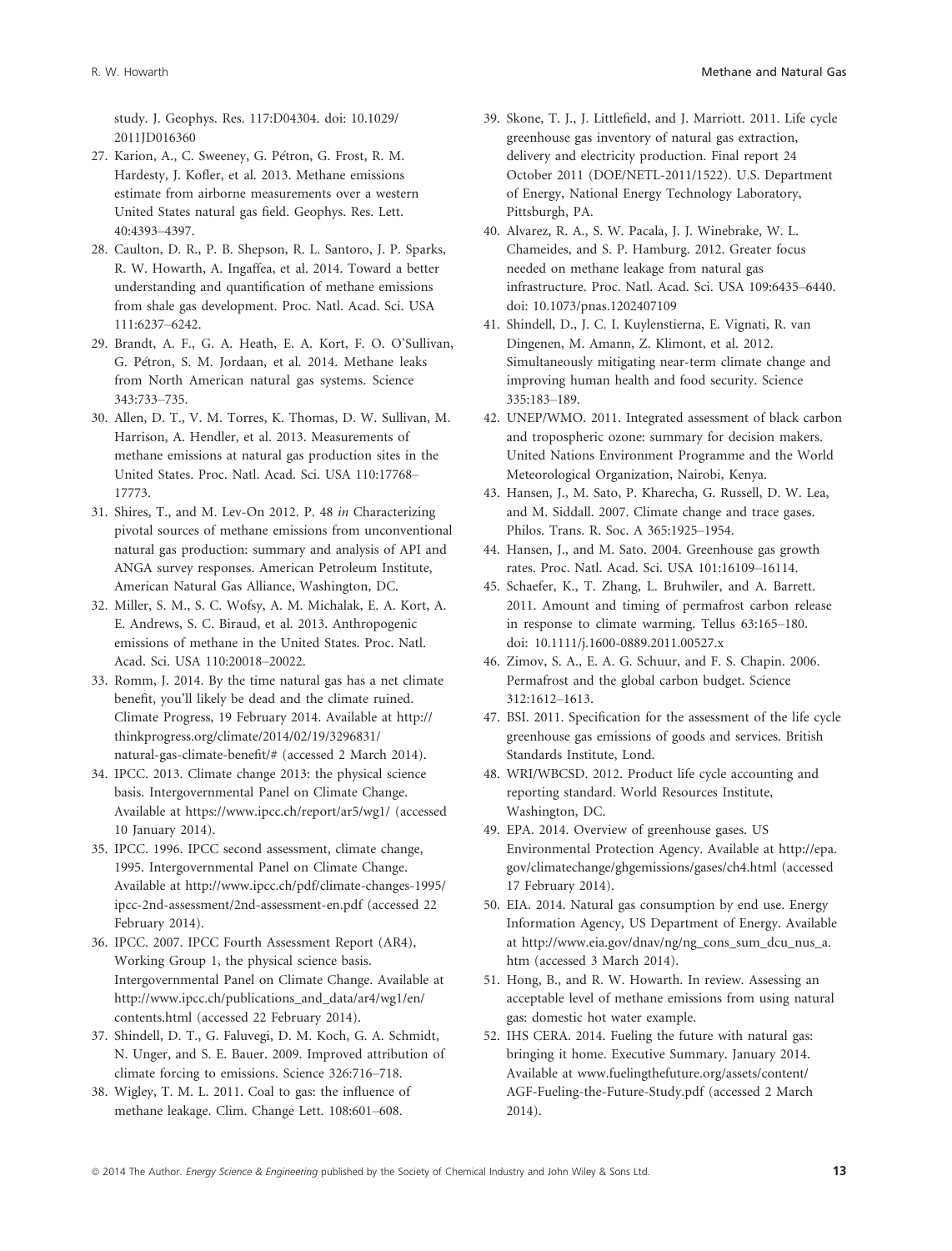study. J. Geophys. Res. 117:D04304. doi: 10.1029/ 2011JD016360

- 27. Karion, A., C. Sweeney, G. Pétron, G. Frost, R. M. Hardesty, J. Kofler, et al. 2013. Methane emissions estimate from airborne measurements over a western United States natural gas field. Geophys. Res. Lett. 40:4393–4397.
- 28. Caulton, D. R., P. B. Shepson, R. L. Santoro, J. P. Sparks, R. W. Howarth, A. Ingaffea, et al. 2014. Toward a better understanding and quantification of methane emissions from shale gas development. Proc. Natl. Acad. Sci. USA 111:6237–6242.
- 29. Brandt, A. F., G. A. Heath, E. A. Kort, F. O. O'Sullivan, G. Pétron, S. M. Jordaan, et al. 2014. Methane leaks from North American natural gas systems. Science 343:733–735.
- 30. Allen, D. T., V. M. Torres, K. Thomas, D. W. Sullivan, M. Harrison, A. Hendler, et al. 2013. Measurements of methane emissions at natural gas production sites in the United States. Proc. Natl. Acad. Sci. USA 110:17768– 17773.
- 31. Shires, T., and M. Lev-On 2012. P. 48 in Characterizing pivotal sources of methane emissions from unconventional natural gas production: summary and analysis of API and ANGA survey responses. American Petroleum Institute, American Natural Gas Alliance, Washington, DC.
- 32. Miller, S. M., S. C. Wofsy, A. M. Michalak, E. A. Kort, A. E. Andrews, S. C. Biraud, et al. 2013. Anthropogenic emissions of methane in the United States. Proc. Natl. Acad. Sci. USA 110:20018–20022.
- 33. Romm, J. 2014. By the time natural gas has a net climate benefit, you'll likely be dead and the climate ruined. Climate Progress, 19 February 2014. Available at http:// thinkprogress.org/climate/2014/02/19/3296831/ natural-gas-climate-benefit/# (accessed 2 March 2014).
- 34. IPCC. 2013. Climate change 2013: the physical science basis. Intergovernmental Panel on Climate Change. Available at https://www.ipcc.ch/report/ar5/wg1/ (accessed 10 January 2014).
- 35. IPCC. 1996. IPCC second assessment, climate change, 1995. Intergovernmental Panel on Climate Change. Available at http://www.ipcc.ch/pdf/climate-changes-1995/ ipcc-2nd-assessment/2nd-assessment-en.pdf (accessed 22 February 2014).
- 36. IPCC. 2007. IPCC Fourth Assessment Report (AR4), Working Group 1, the physical science basis. Intergovernmental Panel on Climate Change. Available at http://www.ipcc.ch/publications\_and\_data/ar4/wg1/en/ contents.html (accessed 22 February 2014).
- 37. Shindell, D. T., G. Faluvegi, D. M. Koch, G. A. Schmidt, N. Unger, and S. E. Bauer. 2009. Improved attribution of climate forcing to emissions. Science 326:716–718.
- 38. Wigley, T. M. L. 2011. Coal to gas: the influence of methane leakage. Clim. Change Lett. 108:601–608.
- 39. Skone, T. J., J. Littlefield, and J. Marriott. 2011. Life cycle greenhouse gas inventory of natural gas extraction, delivery and electricity production. Final report 24 October 2011 (DOE/NETL-2011/1522). U.S. Department of Energy, National Energy Technology Laboratory, Pittsburgh, PA.
- 40. Alvarez, R. A., S. W. Pacala, J. J. Winebrake, W. L. Chameides, and S. P. Hamburg. 2012. Greater focus needed on methane leakage from natural gas infrastructure. Proc. Natl. Acad. Sci. USA 109:6435–6440. doi: 10.1073/pnas.1202407109
- 41. Shindell, D., J. C. I. Kuylenstierna, E. Vignati, R. van Dingenen, M. Amann, Z. Klimont, et al. 2012. Simultaneously mitigating near-term climate change and improving human health and food security. Science 335:183–189.
- 42. UNEP/WMO. 2011. Integrated assessment of black carbon and tropospheric ozone: summary for decision makers. United Nations Environment Programme and the World Meteorological Organization, Nairobi, Kenya.
- 43. Hansen, J., M. Sato, P. Kharecha, G. Russell, D. W. Lea, and M. Siddall. 2007. Climate change and trace gases. Philos. Trans. R. Soc. A 365:1925–1954.
- 44. Hansen, J., and M. Sato. 2004. Greenhouse gas growth rates. Proc. Natl. Acad. Sci. USA 101:16109–16114.
- 45. Schaefer, K., T. Zhang, L. Bruhwiler, and A. Barrett. 2011. Amount and timing of permafrost carbon release in response to climate warming. Tellus 63:165–180. doi: 10.1111/j.1600-0889.2011.00527.x
- 46. Zimov, S. A., E. A. G. Schuur, and F. S. Chapin. 2006. Permafrost and the global carbon budget. Science 312:1612–1613.
- 47. BSI. 2011. Specification for the assessment of the life cycle greenhouse gas emissions of goods and services. British Standards Institute, Lond.
- 48. WRI/WBCSD. 2012. Product life cycle accounting and reporting standard. World Resources Institute, Washington, DC.
- 49. EPA. 2014. Overview of greenhouse gases. US Environmental Protection Agency. Available at http://epa. gov/climatechange/ghgemissions/gases/ch4.html (accessed 17 February 2014).
- 50. EIA. 2014. Natural gas consumption by end use. Energy Information Agency, US Department of Energy. Available at http://www.eia.gov/dnav/ng/ng\_cons\_sum\_dcu\_nus\_a. htm (accessed 3 March 2014).
- 51. Hong, B., and R. W. Howarth. In review. Assessing an acceptable level of methane emissions from using natural gas: domestic hot water example.
- 52. IHS CERA. 2014. Fueling the future with natural gas: bringing it home. Executive Summary. January 2014. Available at www.fuelingthefuture.org/assets/content/ AGF-Fueling-the-Future-Study.pdf (accessed 2 March 2014).